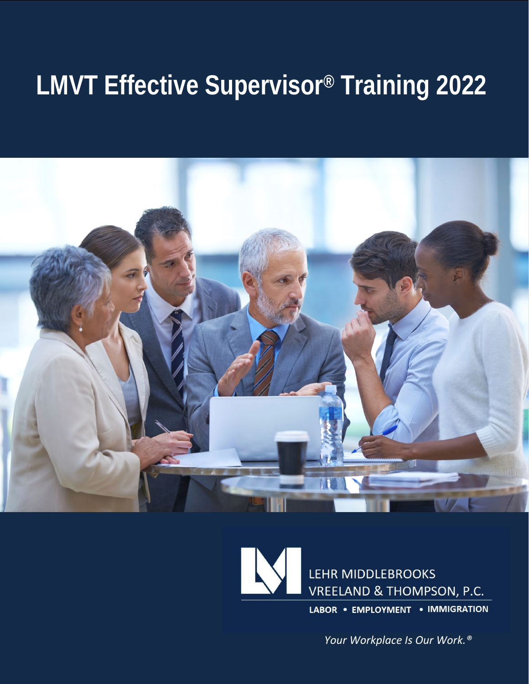# **LMVT Effective Supervisor® Training 2022**





*Your Workplace Is Our Work.®*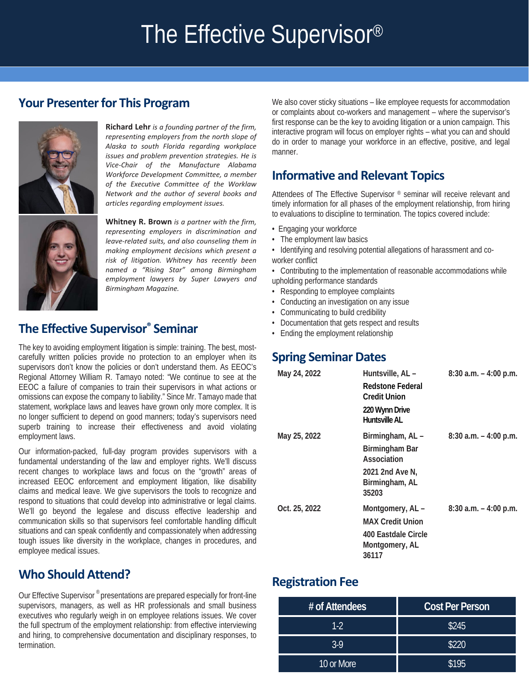## The Effective Supervisor®

## **Your Presenter for This Program**



**Richard Lehr** *is a founding partner of the firm, representing employers from the north slope of Alaska to south Florida regarding workplace issues and problem prevention strategies. He is Vice-Chair of the Manufacture Alabama Workforce Development Committee, a member of the Executive Committee of the Worklaw Network and the author of several books and articles regarding employment issues.*

**Whitney R. Brown** *is a partner with the firm, representing employers in discrimination and leave-related suits, and also counseling them in making employment decisions which present a risk of litigation. Whitney has recently been named a "Rising Star" among Birmingham employment lawyers by Super Lawyers and Birmingham Magazine.*

## **The Effective Supervisor® Seminar**

The key to avoiding employment litigation is simple: training. The best, mostcarefully written policies provide no protection to an employer when its supervisors don't know the policies or don't understand them. As EEOC's Regional Attorney William R. Tamayo noted: "We continue to see at the EEOC a failure of companies to train their supervisors in what actions or omissions can expose the company to liability." Since Mr. Tamayo made that statement, workplace laws and leaves have grown only more complex. It is no longer sufficient to depend on good manners; today's supervisors need superb training to increase their effectiveness and avoid violating employment laws.

Our information-packed, full-day program provides supervisors with a fundamental understanding of the law and employer rights. We'll discuss recent changes to workplace laws and focus on the "growth" areas of increased EEOC enforcement and employment litigation, like disability claims and medical leave. We give supervisors the tools to recognize and respond to situations that could develop into administrative or legal claims. We'll go beyond the legalese and discuss effective leadership and communication skills so that supervisors feel comfortable handling difficult situations and can speak confidently and compassionately when addressing tough issues like diversity in the workplace, changes in procedures, and employee medical issues.

## **Who Should Attend?**

Our Effective Supervisor ® presentations are prepared especially for front-line supervisors, managers, as well as HR professionals and small business executives who regularly weigh in on employee relations issues. We cover the full spectrum of the employment relationship: from effective interviewing and hiring, to comprehensive documentation and disciplinary responses, to termination.

We also cover sticky situations – like employee requests for accommodation or complaints about co-workers and management – where the supervisor's first response can be the key to avoiding litigation or a union campaign. This interactive program will focus on employer rights – what you can and should do in order to manage your workforce in an effective, positive, and legal manner.

## **Informative and Relevant Topics**

Attendees of The Effective Supervisor ® seminar will receive relevant and timely information for all phases of the employment relationship, from hiring to evaluations to discipline to termination. The topics covered include:

- Engaging your workforce
- The employment law basics
- Identifying and resolving potential allegations of harassment and coworker conflict
- Contributing to the implementation of reasonable accommodations while upholding performance standards
- Responding to employee complaints
- Conducting an investigation on any issue
- Communicating to build credibility
- Documentation that gets respect and results
- Ending the employment relationship

### **Spring Seminar Dates**

| May 24, 2022  | Huntsville, AL -<br>Redstone Federal<br><b>Credit Union</b><br>220 Wynn Drive<br>Huntsville Al | $8:30$ a.m. $-4:00$ p.m. |
|---------------|------------------------------------------------------------------------------------------------|--------------------------|
| May 25, 2022  | Birmingham, AL-<br>Birmingham Bar<br>Association<br>2021 2nd Ave N,<br>Birmingham, AL<br>35203 | $8:30$ a.m. $-4:00$ p.m. |
| Oct. 25, 2022 | Montgomery, AL-<br><b>MAX Credit Union</b><br>400 Eastdale Circle<br>Montgomery, AL<br>36117   | $8:30$ a.m. $-4:00$ p.m. |

### **Registration Fee**

| # of Attendees | <b>Cost Per Person</b> |  |
|----------------|------------------------|--|
| $1-2$          | \$245                  |  |
| $3-9$          | \$220                  |  |
| 10 or More     | \$195                  |  |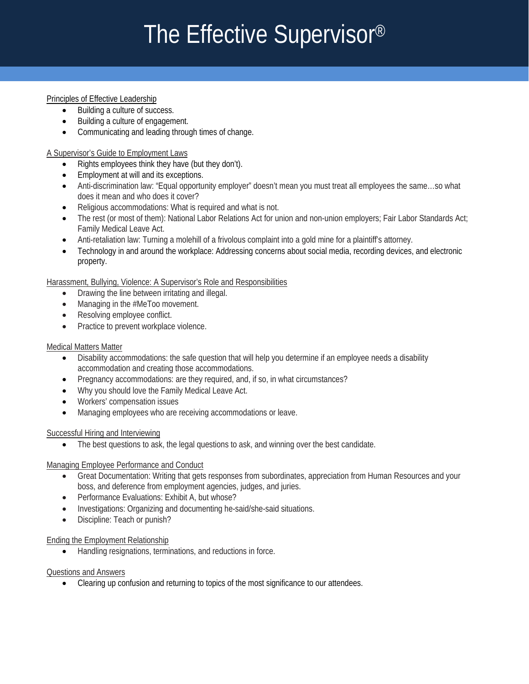# The Effective Supervisor®

#### Principles of Effective Leadership

- Building a culture of success.
- Building a culture of engagement.
- Communicating and leading through times of change.

### A Supervisor's Guide to Employment Laws

- Rights employees think they have (but they don't).
- Employment at will and its exceptions.
- Anti-discrimination law. Equal opport<br>does it mean and who does it cover? • Anti-discrimination law: "Equal opportunity employer" doesn't mean you must treat all employees the same…so what
- Religious accommodations: What is required and what is not.
- The rest (or most of them): National Labor Relations Act for union and non-union employers; Fair Labor Standards Act; Family Medical Leave Act.
- Anti-retaliation law: Turning a molehill of a frivolous complaint into a gold mine for a plaintiff's attorney.
- Technology in and around the workplace: Addressing concerns about social media, recording devices, and electronic property.

Harassment, Bullying, Violence: A Supervisor's Role and Responsibilities

- Drawing the line between irritating and illegal.
- Managing in the #MeToo movement.
- Resolving employee conflict.
- Practice to prevent workplace violence.

### Medical Matters Matter Ī

- accommodation and creating those accommodations. • Disability accommodations: the safe question that will help you determine if an employee needs a disability
- Pregnancy accommodations: are they required, and, if so, in what circumstances?
- Why you should love the Family Medical Leave Act.
- Workers' compensation issues
- Managing employees who are receiving accommodations or leave.

#### **Successful Hiring and Interviewing**

• The best questions to ask, the legal questions to ask, and winning over the best candidate.

#### Managing Employee Performance and Conduct

- <u>aging Empioyee Penormance and Conduct</u><br>• Great Documentation: Writing that gets responses from subordinates, appreciation from Human Resources and your boss, and deference from employment agencies, judges, and juries.
- Performance Evaluations: Exhibit A, but whose?
- Investigations: Organizing and documenting he-said/she-said situations.
- Discipline: Teach or punish?

## Ending the Employment Relationship<br>Andling resignations, term

• Handling resignations, terminations, and reductions in force.

#### Questions and Answers

• Clearing up confusion and returning to topics of the most significance to our attendees.